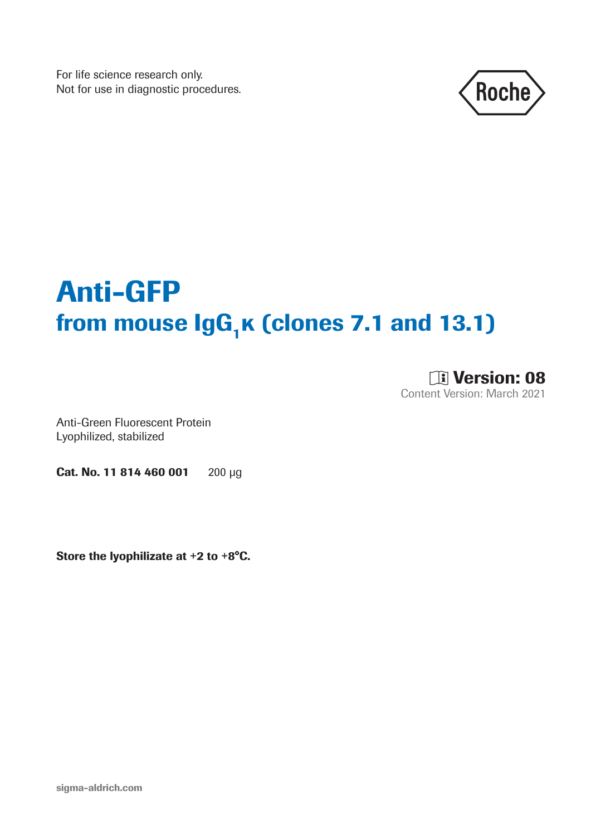For life science research only. Not for use in diagnostic procedures.



# Anti-GFP from mouse  $\lg G_1\kappa$  (clones 7.1 and 13.1)

**DE Version: 08** Content Version: March 2021

Anti-Green Fluorescent Protein Lyophilized, stabilized

Cat. No. 11 814 460 001 200 μg

Store the lyophilizate at +2 to +8°C.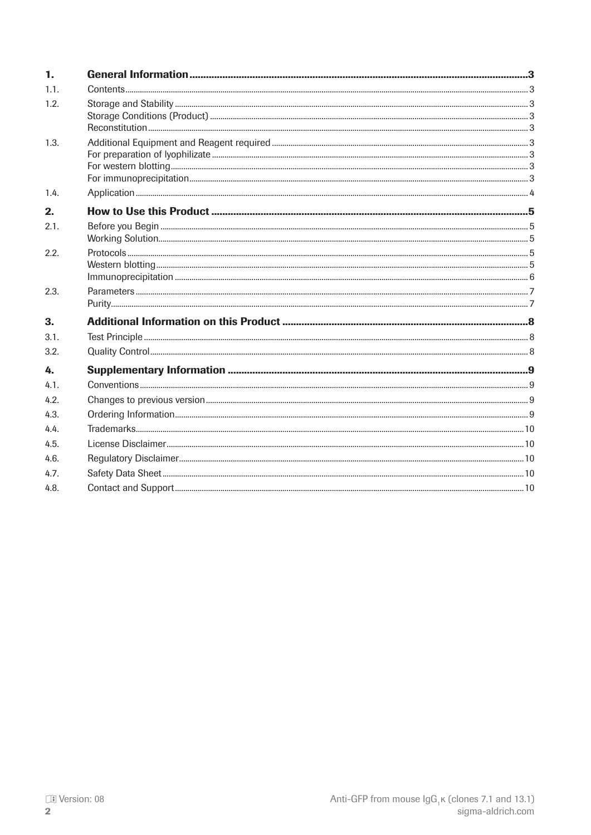| $\mathbf{1}$ .   |  |
|------------------|--|
| 1.1.             |  |
| 1.2.             |  |
|                  |  |
|                  |  |
| 1.3.             |  |
|                  |  |
|                  |  |
| 1.4.             |  |
| 2.               |  |
| 2.1.             |  |
|                  |  |
| 2.2.             |  |
|                  |  |
|                  |  |
| 2.3.             |  |
| 3.               |  |
| 3.1.             |  |
| 3.2 <sub>1</sub> |  |
| 4.               |  |
|                  |  |
| 4.1.             |  |
| 4.2.             |  |
| 4.3.             |  |
| 4.4.             |  |
| 4.5.             |  |
| 4.6.             |  |
| 4.7.             |  |
| 4.8.             |  |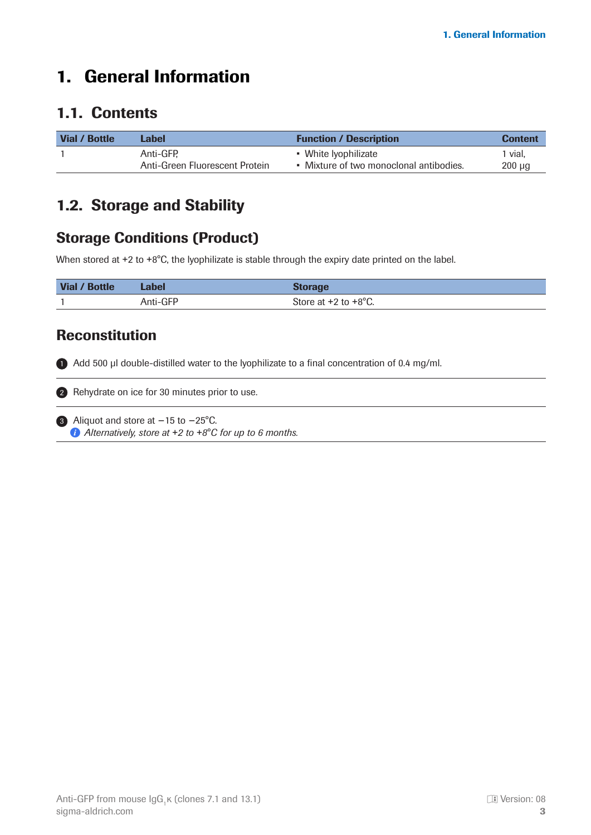# <span id="page-2-0"></span>1. General Information

#### 1.1. Contents

| Vial / Bottle | Label                          | <b>Function / Description</b>           | <b>Content</b> |
|---------------|--------------------------------|-----------------------------------------|----------------|
|               | Anti-GFP.                      | • White Iyophilizate                    | 1 vial.        |
|               | Anti-Green Fluorescent Protein | • Mixture of two monoclonal antibodies. | $200 \mu q$    |

#### 1.2. Storage and Stability

#### Storage Conditions (Product)

When stored at +2 to +8°C, the lyophilizate is stable through the expiry date printed on the label.

| Vial / Bottle | Label    | <b>Storage</b>                   |
|---------------|----------|----------------------------------|
|               | Anti-GFP | Store at $+2$ to $+8^{\circ}$ C. |

#### Reconstitution

**1** Add 500 µl double-distilled water to the lyophilizate to a final concentration of 0.4 mg/ml.

2 Rehydrate on ice for 30 minutes prior to use.

3 Aliquot and store at -15 to -25°C. *Alternatively, store at* +*2 to* +*8°C for up to 6 months.*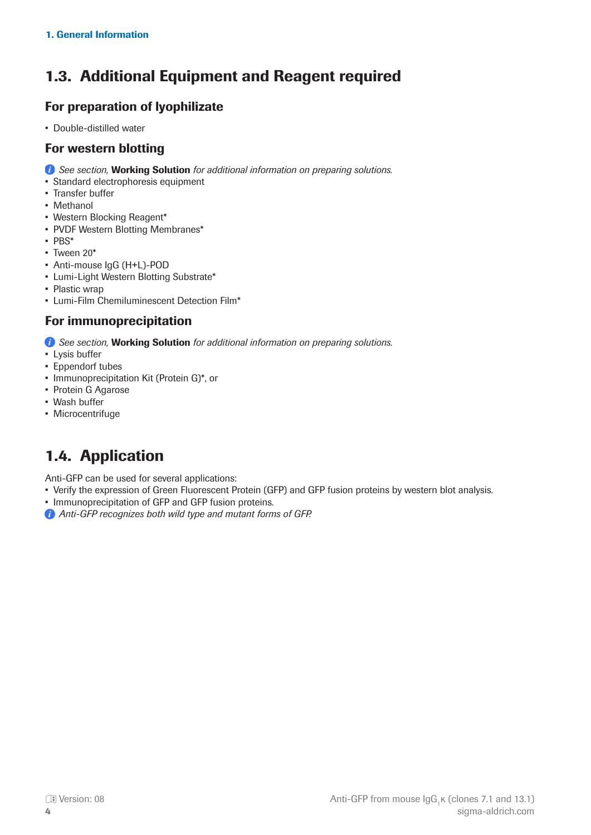## <span id="page-3-0"></span>1.3. Additional Equipment and Reagent required

#### For preparation of lyophilizate

• Double-distilled water

#### For western blotting

- *See section, Working Solution for additional information on preparing solutions.*
- Standard electrophoresis equipment
- Transfer buffer
- Methanol
- Western Blocking Reagent\*
- PVDF Western Blotting Membranes\*
- PBS\*
- Tween 20\*
- Anti-mouse IgG (H+L)-POD
- Lumi-Light Western Blotting Substrate\*
- Plastic wrap
- Lumi-Film Chemiluminescent Detection Film\*

#### For immunoprecipitation

*See section, Working Solution for additional information on preparing solutions.* 

- Lysis buffer
- Eppendorf tubes
- Immunoprecipitation Kit (Protein G)\*, or
- Protein G Agarose
- Wash buffer
- Microcentrifuge

# 1.4. Application

Anti-GFP can be used for several applications:

- Verify the expression of Green Fluorescent Protein (GFP) and GFP fusion proteins by western blot analysis.
- Immunoprecipitation of GFP and GFP fusion proteins.
- *Anti-GFP recognizes both wild type and mutant forms of GFP.*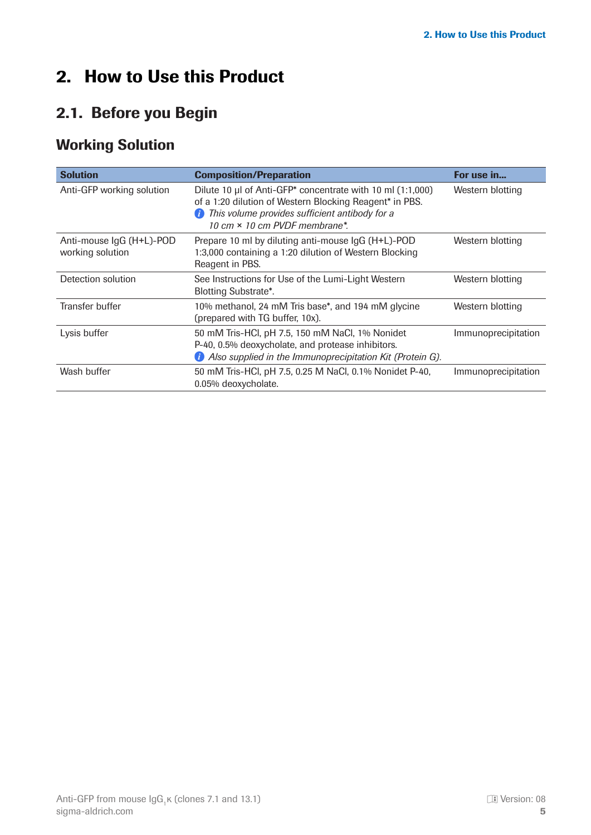# <span id="page-4-0"></span>2. How to Use this Product

## 2.1. Before you Begin

## Working Solution

| <b>Solution</b>                              | <b>Composition/Preparation</b>                                                                                                                                                                                       | For use in          |
|----------------------------------------------|----------------------------------------------------------------------------------------------------------------------------------------------------------------------------------------------------------------------|---------------------|
| Anti-GFP working solution                    | Dilute 10 µl of Anti-GFP* concentrate with 10 ml (1:1,000)<br>of a 1:20 dilution of Western Blocking Reagent* in PBS.<br>This volume provides sufficient antibody for a<br>(i<br>10 cm $\times$ 10 cm PVDF membrane* | Western blotting    |
| Anti-mouse IgG (H+L)-POD<br>working solution | Prepare 10 ml by diluting anti-mouse IgG (H+L)-POD<br>1:3,000 containing a 1:20 dilution of Western Blocking<br>Reagent in PBS.                                                                                      | Western blotting    |
| Detection solution                           | See Instructions for Use of the Lumi-Light Western<br><b>Blotting Substrate*.</b>                                                                                                                                    | Western blotting    |
| Transfer buffer                              | 10% methanol, 24 mM Tris base*, and 194 mM glycine<br>(prepared with TG buffer, 10x).                                                                                                                                | Western blotting    |
| Lysis buffer                                 | 50 mM Tris-HCl, pH 7.5, 150 mM NaCl, 1% Nonidet<br>P-40, 0.5% deoxycholate, and protease inhibitors.<br><i>D</i> Also supplied in the Immunoprecipitation Kit (Protein G).                                           | Immunoprecipitation |
| Wash buffer                                  | 50 mM Tris-HCl, pH 7.5, 0.25 M NaCl, 0.1% Nonidet P-40,<br>0.05% deoxycholate.                                                                                                                                       | Immunoprecipitation |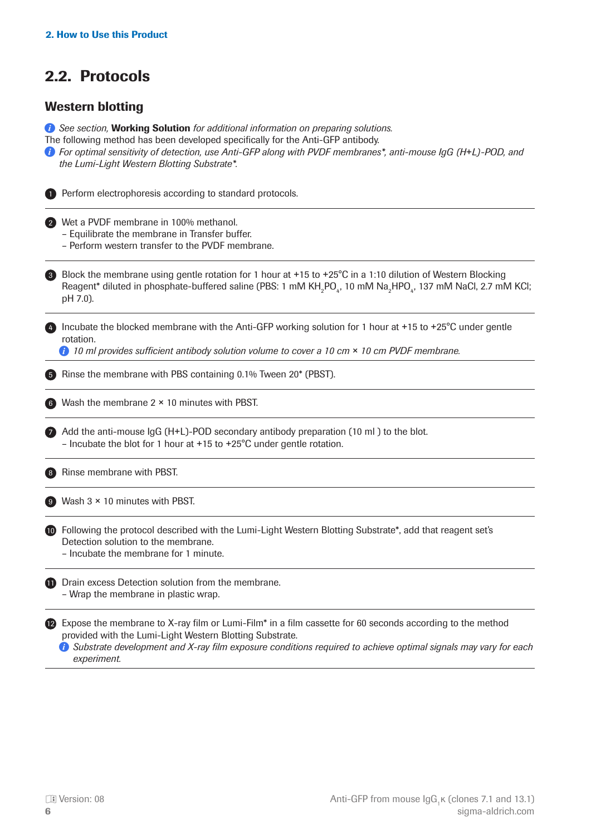## <span id="page-5-0"></span>2.2. Protocols

#### Western blotting

*See section,* Working Solution *for additional information on preparing solutions.* The following method has been developed specifically for the Anti-GFP antibody. *For optimal sensitivity of detection, use Anti-GFP along with PVDF membranes\*, anti-mouse IgG (H*+*L)-POD, and the Lumi-Light Western Blotting Substrate\*.*  1) Perform electrophoresis according to standard protocols. Wet a PVDF membrane in 100% methanol. 2 – Equilibrate the membrane in Transfer buffer. – Perform western transfer to the PVDF membrane. Block the membrane using gentle rotation for 1 hour at +15 to +25°C in a 1:10 dilution of Western Blocking Reagent\* diluted in phosphate-buffered saline (PBS: 1 mM KH<sub>2</sub>PO<sub>4</sub>, 10 mM Na<sub>2</sub>HPO<sub>4</sub>, 137 mM NaCl, 2.7 mM KCl; pH 7.0).   4) Incubate the blocked membrane with the Anti-GFP working solution for 1 hour at +15 to +25°C under gentle rotation. **10 ml provides sufficient antibody solution volume to cover a 10 cm**  $\times$  **10 cm PVDF membrane.** 5 Rinse the membrane with PBS containing 0.1% Tween 20\* (PBST). Wash the membrane 2 × 10 minutes with PBST. 6 Add the anti-mouse IgG (H+L)-POD secondary antibody preparation (10 ml ) to the blot. – Incubate the blot for 1 hour at +15 to +25°C under gentle rotation. 8 Rinse membrane with PBST. Wash 3 × 10 minutes with PBST. 9 **10** Following the protocol described with the Lumi-Light Western Blotting Substrate\*, add that reagent set's Detection solution to the membrane. – Incubate the membrane for 1 minute. **D** Drain excess Detection solution from the membrane. – Wrap the membrane in plastic wrap. **2** Expose the membrane to X-ray film or Lumi-Film<sup>\*</sup> in a film cassette for 60 seconds according to the method provided with the Lumi-Light Western Blotting Substrate. 3 7

*Substrate development and X-ray film exposure conditions required to achieve optimal signals may vary for each experiment.*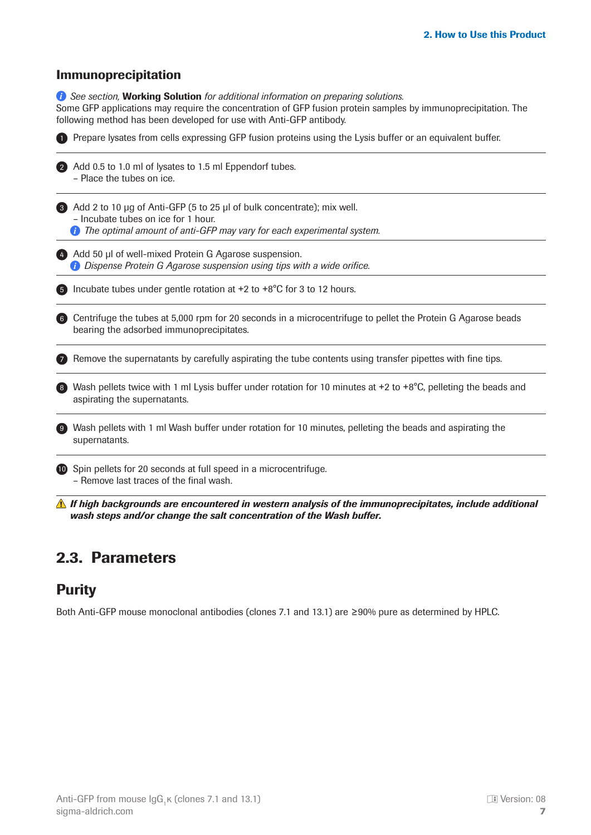#### <span id="page-6-0"></span>Immunoprecipitation

*See section, Working Solution for additional information on preparing solutions.* Some GFP applications may require the concentration of GFP fusion protein samples by immunoprecipitation. The following method has been developed for use with Anti-GFP antibody.

|    | Prepare lysates from cells expressing GFP fusion proteins using the Lysis buffer or an equivalent buffer.                                                                              |
|----|----------------------------------------------------------------------------------------------------------------------------------------------------------------------------------------|
|    | Add 0.5 to 1.0 ml of lysates to 1.5 ml Eppendorf tubes.<br>- Place the tubes on ice.                                                                                                   |
|    | Add 2 to 10 µg of Anti-GFP (5 to 25 µl of bulk concentrate); mix well.<br>- Incubate tubes on ice for 1 hour.<br>The optimal amount of anti-GFP may vary for each experimental system. |
|    |                                                                                                                                                                                        |
|    | Add 50 µl of well-mixed Protein G Agarose suspension.<br>Dispense Protein G Agarose suspension using tips with a wide orifice.                                                         |
|    | Incubate tubes under gentle rotation at +2 to +8°C for 3 to 12 hours.                                                                                                                  |
| -6 | Centrifuge the tubes at 5,000 rpm for 20 seconds in a microcentrifuge to pellet the Protein G Agarose beads<br>bearing the adsorbed immunoprecipitates.                                |
|    | Remove the supernatants by carefully aspirating the tube contents using transfer pipettes with fine tips.                                                                              |
|    | Wash pellets twice with 1 ml Lysis buffer under rotation for 10 minutes at +2 to +8°C, pelleting the beads and<br>aspirating the supernatants.                                         |
|    | Wash pellets with 1 ml Wash buffer under rotation for 10 minutes, pelleting the beads and aspirating the<br>supernatants.                                                              |
|    | Spin pellets for 20 seconds at full speed in a microcentrifuge.<br>$\blacksquare$<br>- Remove last traces of the final wash.                                                           |

## 2.3. Parameters

#### **Purity**

Both Anti-GFP mouse monoclonal antibodies (clones 7.1 and 13.1) are ≥90% pure as determined by HPLC.

*wash steps and/or change the salt concentration of the Wash buffer.*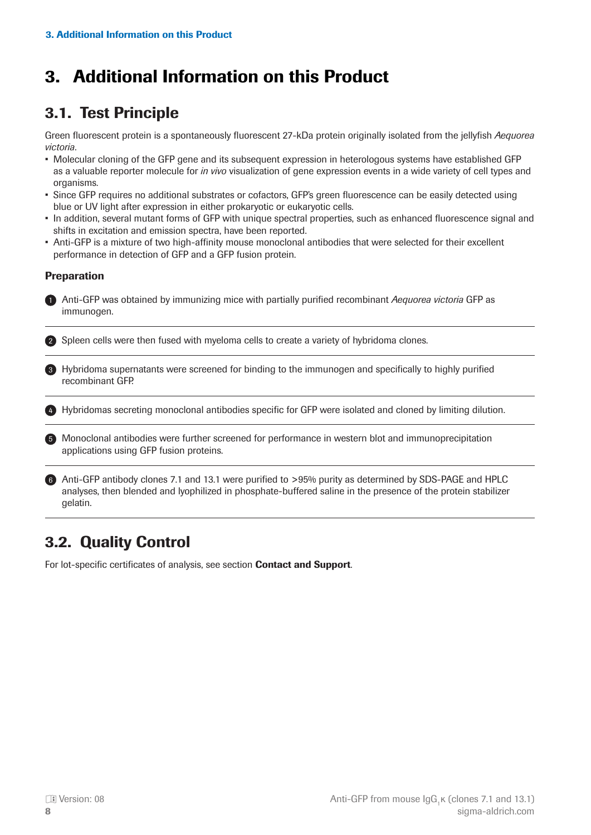# <span id="page-7-0"></span>3. Additional Information on this Product

## 3.1. Test Principle

Green fluorescent protein is a spontaneously fluorescent 27-kDa protein originally isolated from the jellyfish *Aequorea victoria*.

- Molecular cloning of the GFP gene and its subsequent expression in heterologous systems have established GFP as a valuable reporter molecule for *in vivo* visualization of gene expression events in a wide variety of cell types and organisms.
- Since GFP requires no additional substrates or cofactors, GFP's green fluorescence can be easily detected using blue or UV light after expression in either prokaryotic or eukaryotic cells.
- In addition, several mutant forms of GFP with unique spectral properties, such as enhanced fluorescence signal and shifts in excitation and emission spectra, have been reported.
- Anti-GFP is a mixture of two high-affinity mouse monoclonal antibodies that were selected for their excellent performance in detection of GFP and a GFP fusion protein.

#### **Preparation**

1) Anti-GFP was obtained by immunizing mice with partially purified recombinant *Aequorea victoria* GFP as immunogen.

2) Spleen cells were then fused with myeloma cells to create a variety of hybridoma clones.

**3)** Hybridoma supernatants were screened for binding to the immunogen and specifically to highly purified recombinant GFP.

4) Hybridomas secreting monoclonal antibodies specific for GFP were isolated and cloned by limiting dilution.

5) Monoclonal antibodies were further screened for performance in western blot and immunoprecipitation applications using GFP fusion proteins.

6) Anti-GFP antibody clones 7.1 and 13.1 were purified to >95% purity as determined by SDS-PAGE and HPLC analyses, then blended and lyophilized in phosphate-buffered saline in the presence of the protein stabilizer gelatin.

## 3.2. Quality Control

For lot-specific certificates of analysis, see section **Contact and Support**.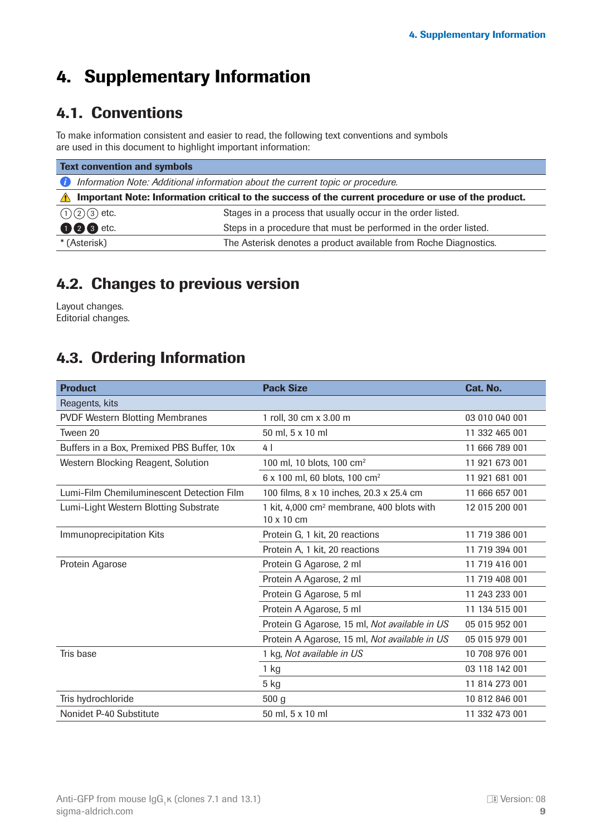# <span id="page-8-0"></span>4. Supplementary Information

## 4.1. Conventions

To make information consistent and easier to read, the following text conventions and symbols are used in this document to highlight important information:

| <b>Text convention and symbols</b>                                                                                |                                                                  |  |
|-------------------------------------------------------------------------------------------------------------------|------------------------------------------------------------------|--|
| Information Note: Additional information about the current topic or procedure.<br>Œ                               |                                                                  |  |
| Important Note: Information critical to the success of the current procedure or use of the product.<br>$\sqrt{N}$ |                                                                  |  |
| $(1)(2)(3)$ etc.                                                                                                  | Stages in a process that usually occur in the order listed.      |  |
| <b>006</b> etc.                                                                                                   | Steps in a procedure that must be performed in the order listed. |  |
| * (Asterisk)                                                                                                      | The Asterisk denotes a product available from Roche Diagnostics. |  |

## 4.2. Changes to previous version

Layout changes. Editorial changes.

## 4.3. Ordering Information

| <b>Product</b>                             | <b>Pack Size</b>                                                           | Cat. No.       |
|--------------------------------------------|----------------------------------------------------------------------------|----------------|
| Reagents, kits                             |                                                                            |                |
| <b>PVDF Western Blotting Membranes</b>     | 1 roll, 30 cm x 3.00 m                                                     | 03 010 040 001 |
| Tween 20                                   | 50 ml, 5 x 10 ml                                                           | 11 332 465 001 |
| Buffers in a Box, Premixed PBS Buffer, 10x | 4                                                                          | 11 666 789 001 |
| Western Blocking Reagent, Solution         | 100 ml, 10 blots, 100 cm <sup>2</sup>                                      | 11 921 673 001 |
|                                            | 6 x 100 ml, 60 blots, 100 cm <sup>2</sup>                                  | 11 921 681 001 |
| Lumi-Film Chemiluminescent Detection Film  | 100 films, 8 x 10 inches, 20.3 x 25.4 cm                                   | 11 666 657 001 |
| Lumi-Light Western Blotting Substrate      | 1 kit, 4,000 cm <sup>2</sup> membrane, 400 blots with<br>$10 \times 10$ cm | 12 015 200 001 |
| Immunoprecipitation Kits                   | Protein G, 1 kit, 20 reactions                                             | 11 719 386 001 |
|                                            | Protein A, 1 kit, 20 reactions                                             | 11 719 394 001 |
| Protein Agarose                            | Protein G Agarose, 2 ml                                                    | 11 719 416 001 |
|                                            | Protein A Agarose, 2 ml                                                    | 11 719 408 001 |
|                                            | Protein G Agarose, 5 ml                                                    | 11 243 233 001 |
|                                            | Protein A Agarose, 5 ml                                                    | 11 134 515 001 |
|                                            | Protein G Agarose, 15 ml, Not available in US                              | 05 015 952 001 |
|                                            | Protein A Agarose, 15 ml, Not available in US                              | 05 015 979 001 |
| Tris base                                  | 1 kg, Not available in US                                                  | 10 708 976 001 |
|                                            | $1$ kg                                                                     | 03 118 142 001 |
|                                            | 5 kg                                                                       | 11 814 273 001 |
| Tris hydrochloride                         | 500 <sub>g</sub>                                                           | 10 812 846 001 |
| Nonidet P-40 Substitute                    | 50 ml, 5 x 10 ml                                                           | 11 332 473 001 |